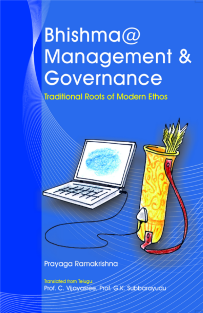## **Bhishma**@ Management & **Governance**

**Traditional Roots of Modern Ethos** 



Prayaga Ramakrishna

Translated from Telugu; Prof. C. Vijayasree, Prof. G.K. Subbarayudu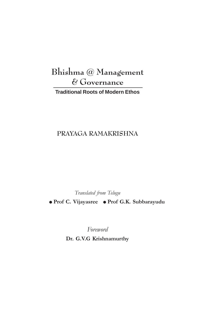#### Bhishma $@$ Management & Governance

**Traditional Roots of Modern Ethos** 

#### PRAYAGA RAMAKRISHNA

Translated from Telugu

· Prof C. Vijayasree · Prof G.K. Subbarayudu

Foreword

Dr. G.V.G Krishnamurthy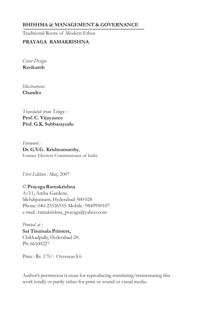#### **BHISHMA @ MANAGEMENT & GOVERNANCE**

Traditional Roots of Modern Ethos

#### PRAYAGA RAMAKRISHNA

Cover Design: Ravikanth

Illustrations: Chandra

Translated from Telugu: Prof. C. Vijayasree Prof. G.K. Subbarayudu

 $\textit{Foreword}\cdot$ Dr. G.V.G. Krishnamurthy, Former Election Commissioner of India

First Edition : May, 2007

© Prayaga Ramakrishna A/11, Amba Gardens, Mehdipatnam, Hyderabad-500 028 Phone: 040-23526555 Mobile: 9849990107 e-mail: ramakrishna\_prayaga@yahoo.com

Printed at: Sai Tirumala Printers, Chikkadpally, Hyderabad-20. Ph: 66100227

Price: Rs. 175/- Overseas \$6

Author's permission is must for reproducing translating/transcreating this work totally or partly either for print or sound or visual media.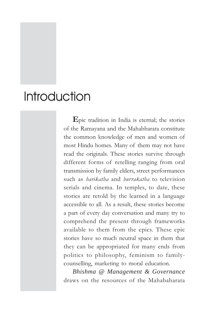### **Introduction**

Epic tradition in India is eternal; the stories of the Ramayana and the Mahabharata constitute the common knowledge of men and women of most Hindu homes. Many of them may not have read the originals. These stories survive through different forms of retelling ranging from oral transmission by family elders, street performances such as *harikatha* and *burrakatha* to television serials and cinema. In temples, to date, these stories are retold by the learned in a language accessible to all. As a result, these stories become a part of every day conversation and many try to comprehend the present through frameworks available to them from the epics. These epic stories have so much neutral space in them that they can be appropriated for many ends from politics to philosophy, feminism to familycounselling, marketing to moral education.

Bhishma @ Management & Governance draws on the resources of the Mahabaharata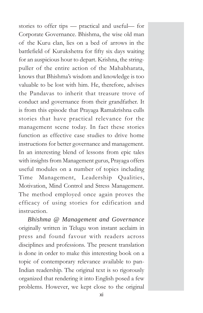stories to offer tips - practical and useful-for Corporate Governance. Bhishma, the wise old man of the Kuru clan, lies on a bed of arrows in the battlefield of Kurukshetra for fifty six days waiting for an auspicious hour to depart. Krishna, the stringpuller of the entire action of the Mahabharata, knows that Bhishma's wisdom and knowledge is too valuable to be lost with him. He, therefore, advises the Pandavas to inherit that treasure trove of conduct and governance from their grandfather. It is from this episode that Prayaga Ramakrishna culls stories that have practical relevance for the management scene today. In fact these stories function as effective case studies to drive home instructions for better governance and management. In an interesting blend of lessons from epic tales with insights from Management gurus, Prayaga offers useful modules on a number of topics including Time Management, Leadership Qualities, Motivation, Mind Control and Stress Management. The method employed once again proves the efficacy of using stories for edification and instruction

Bhishma @ Management and Governance originally written in Telugu won instant acclaim in press and found favour with readers across disciplines and professions. The present translation is done in order to make this interesting book on a topic of contemporary relevance available to pan-Indian readership. The original text is so rigorously organized that rendering it into English posed a few problems. However, we kept close to the original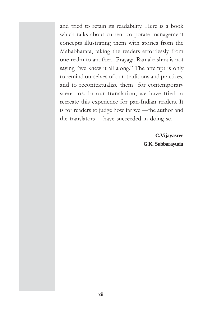and tried to retain its readability. Here is a book which talks about current corporate management concepts illustrating them with stories from the Mahabharata, taking the readers effortlessly from one realm to another. Prayaga Ramakrishna is not saying "we knew it all along." The attempt is only to remind ourselves of our traditions and practices, and to recontextualize them for contemporary scenarios. In our translation, we have tried to recreate this experience for pan-Indian readers. It is for readers to judge how far we - the author and the translators— have succeeded in doing so.

> C.Vijayasree G.K. Subbarayudu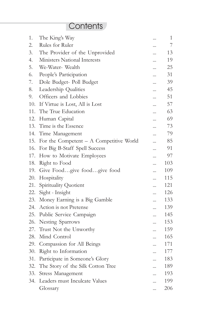#### Contents

| 1.  | The King's Way                            |           | 1              |
|-----|-------------------------------------------|-----------|----------------|
| 2.  | Rules for Ruler                           |           | $\overline{7}$ |
| 3.  | The Provider of the Unprovided            |           | 13             |
| 4.  | Ministers National Interests              | $\ddotsc$ | 19             |
| 5.  | We-Water- Wealth                          |           | 25             |
| 6.  | People's Participation                    |           | 31             |
| 7.  | Dole Budget- Poll Budget                  |           | 39             |
| 8.  | Leadership Qualities                      |           | 45             |
| 9.  | Officers and Lobbies                      |           | 51             |
| 10. | If Virtue is Lost, All is Lost            |           | 57             |
| 11. | The True Education                        |           | 63             |
| 12. | Human Capital                             |           | 69             |
| 13. | Time is the Essence                       |           | 73             |
| 14. | Time Management                           |           | 79             |
| 15. | For the Competent $- A$ Competitive World |           | 85             |
| 16. | For Big B-Staff Spell Success             |           | 91             |
| 17. | How to Motivate Employees                 |           | 97             |
| 18. | Right to Food                             |           | 103            |
| 19. | Give Foodgive foodgive food               |           | 109            |
| 20. | Hospitality                               |           | 115            |
| 21. | Spirituality Quotient                     |           | 121            |
| 22. | Sight - Insight                           |           | 126            |
| 23. | Money Earning is a Big Gamble             | $\ddotsc$ | 133            |
| 24. | Action is not Pretense                    |           | 139            |
| 25. | Public Service Campaign                   | $\ddotsc$ | 145            |
| 26. | Nesting Sparrows                          |           | 153            |
| 27. | Trust Not the Unworthy                    |           | 159            |
| 28. | Mind Control                              |           | 165            |
| 29. | Compassion for All Beings                 |           | 171            |
| 30. | Right to Information                      |           | 177            |
| 31. | Participate in Someone's Glory            |           | 183            |
| 32. | The Story of the Silk Cotton Tree         |           | 189            |
| 33. | <b>Stress Management</b>                  |           | 193            |
| 34. | Leaders must Inculcate Values             |           | 199            |
|     | Glossary                                  |           | 206            |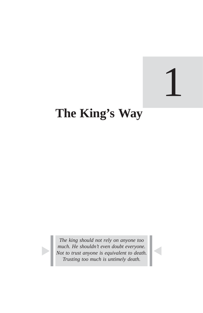# 1

## **The King's Way**

*The king should not rely on anyone too much. He shouldn't even doubt everyone. Not to trust anyone is equivalent to death. Trusting too much is untimely death.*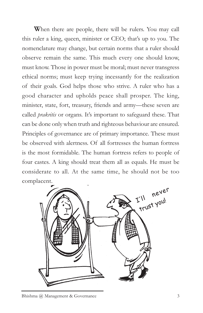When there are people, there will be rulers. You may call this ruler a king, queen, minister or CEO; that's up to you. The nomenclature may change, but certain norms that a ruler should observe remain the same. This much every one should know, must know. Those in power must be moral; must never transgress ethical norms; must keep trying incessantly for the realization of their goals. God helps those who strive. A ruler who has a good character and upholds peace shall prosper. The king, minister, state, fort, treasury, friends and army-these seven are called *prakritis* or organs. It's important to safeguard these. That can be done only when truth and righteous behaviour are ensured. Principles of governance are of primary importance. These must be observed with alertness. Of all fortresses the human fortress is the most formidable. The human fortress refers to people of four castes. A king should treat them all as equals. He must be considerate to all. At the same time, he should not be too complacent.



Bhishma @ Management & Governance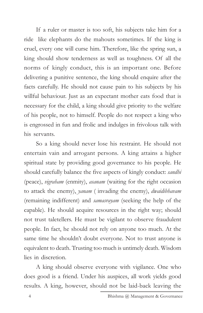If a ruler or master is too soft, his subjects take him for a ride like elephants do the mahouts sometimes. If the king is cruel, every one will curse him. Therefore, like the spring sun, a king should show tenderness as well as toughness. Of all the norms of kingly conduct, this is an important one. Before delivering a punitive sentence, the king should enquire after the facts carefully. He should not cause pain to his subjects by his willful behaviour. Just as an expectant mother eats food that is necessary for the child, a king should give priority to the welfare of his people, not to himself. People do not respect a king who is engrossed in fun and frolic and indulges in frivolous talk with his servants.

So a king should never lose his restraint. He should not entertain vain and arrogant persons. A king attains a higher spiritual state by providing good governance to his people. He should carefully balance the five aspects of kingly conduct: sandhi (peace), *vigraham* (enmity), *asanam* (waiting for the right occasion to attack the enemy), yanam (invading the enemy), dwaidibhavam (remaining indifferent) and samasrayam (seeking the help of the capable). He should acquire resources in the right way; should not trust taletellers. He must be vigilant to observe fraudulent people. In fact, he should not rely on anyone too much. At the same time he shouldn't doubt everyone. Not to trust anyone is equivalent to death. Trusting too much is untimely death. Wisdom lies in discretion.

A king should observe everyone with vigilance. One who does good is a friend. Under his auspices, all work yields good results. A king, however, should not be laid-back leaving the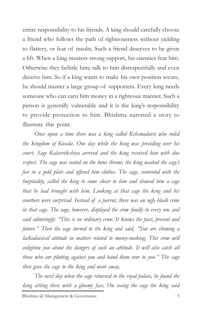entire responsibility to his friends. A king should carefully choose a friend who follows the path of righteousness without yielding to flattery, or fear of insults. Such a friend deserves to be given a lift. When a king musters strong support, his enemies fear him. Otherwise they belittle him; talk to him disrespectfully and even deceive him. So if a king wants to make his own position secure, he should muster a large group of supporters. Every king needs someone who can earn him money in a righteous manner. Such a person is generally vulnerable and it is the king's responsibility to provide protection to him. Bhishma narrated a story to illustrate this point.

Once upon a time there was a king called Kshemadarsi who ruled the kingdom of Kosala. One day while the king was presiding over his court, Sage Kalavrikshiya arrived and the king received him with due respect. The sage was seated on the lotus throne; the king washed the sage's feet in a gold plate and offered him clothes. The sage, contented with the hospitality, called the king to come closer to him and showed him a cage that he had brought with him. Looking at that cage the king and his courtiers were surprised. Instead of a parrot, there was an ugly black crow in that cage. The sage, however, displayed the crow fondly to every one and said admiringly: "This is no ordinary crow. It knows the past, present and future." Then the sage turned to the king and said, "You are showing a lackadaisical attitude in matters related to money-making. This crow will enlighten you about the dangers of such an attitude. It will also catch all those who are plotting against you and hand them over to you." The sage then gave the cage to the king and went away.

The next day when the sage returned to the royal palace, he found the king sitting there with a gloomy face. On seeing the sage the king said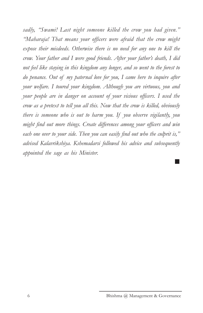sadly, "Swami! Last night someone killed the crow you had given." 'Maharaja! That means your officers were afraid that the crow might expose their misdeeds. Otherwise there is no need for any one to kill the crow. Your father and I were good friends. After your father's death, I did not feel like staying in this kingdom any longer, and so went to the forest to do penance. Out of my paternal love for you, I came here to inquire after your welfare. I toured your kingdom. Although you are virtuous, you and your people are in danger on account of your vicious officers. I used the crow as a pretext to tell you all this. Now that the crow is killed, obviously there is someone who is out to harm you. If you observe vigilantly, you might find out more things. Create differences among your officers and win each one over to your side. Then you can easily find out who the culprit is," advised Kalavrikshiya. Kshemadarsi followed his advice and subsequently appointed the sage as his Minister.